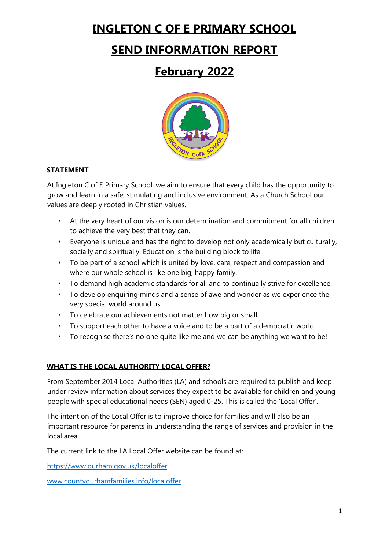# **INGLETON C OF E PRIMARY SCHOOL**

# **SEND INFORMATION REPORT**

# **February 2022**



#### **STATEMENT**

At Ingleton C of E Primary School, we aim to ensure that every child has the opportunity to grow and learn in a safe, stimulating and inclusive environment. As a Church School our values are deeply rooted in Christian values.

- At the very heart of our vision is our determination and commitment for all children to achieve the very best that they can.
- Everyone is unique and has the right to develop not only academically but culturally, socially and spiritually. Education is the building block to life.
- To be part of a school which is united by love, care, respect and compassion and where our whole school is like one big, happy family.
- To demand high academic standards for all and to continually strive for excellence.
- To develop enquiring minds and a sense of awe and wonder as we experience the very special world around us.
- To celebrate our achievements not matter how big or small.
- To support each other to have a voice and to be a part of a democratic world.
- To recognise there's no one quite like me and we can be anything we want to be!

#### **WHAT IS THE LOCAL AUTHORITY LOCAL OFFER?**

From September 2014 Local Authorities (LA) and schools are required to publish and keep under review information about services they expect to be available for children and young people with special educational needs (SEN) aged 0-25. This is called the 'Local Offer'.

The intention of the Local Offer is to improve choice for families and will also be an important resource for parents in understanding the range of services and provision in the local area.

The current link to the LA Local Offer website can be found at:

<https://www.durham.gov.uk/localoffer>

www.countydurhamfamilies.info/localoffer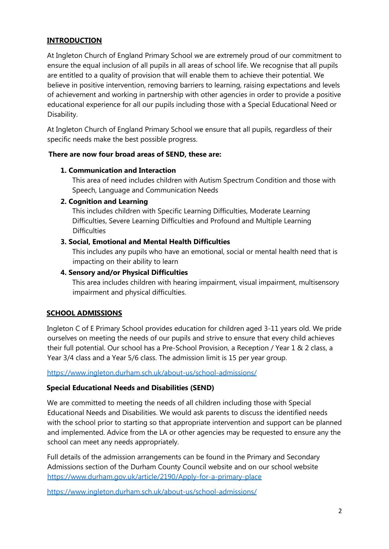## **INTRODUCTION**

At Ingleton Church of England Primary School we are extremely proud of our commitment to ensure the equal inclusion of all pupils in all areas of school life. We recognise that all pupils are entitled to a quality of provision that will enable them to achieve their potential. We believe in positive intervention, removing barriers to learning, raising expectations and levels of achievement and working in partnership with other agencies in order to provide a positive educational experience for all our pupils including those with a Special Educational Need or Disability.

At Ingleton Church of England Primary School we ensure that all pupils, regardless of their specific needs make the best possible progress.

#### **There are now four broad areas of SEND, these are:**

#### **1. Communication and Interaction**

This area of need includes children with Autism Spectrum Condition and those with Speech, Language and Communication Needs

#### **2. Cognition and Learning**

This includes children with Specific Learning Difficulties, Moderate Learning Difficulties, Severe Learning Difficulties and Profound and Multiple Learning **Difficulties** 

#### **3. Social, Emotional and Mental Health Difficulties**

This includes any pupils who have an emotional, social or mental health need that is impacting on their ability to learn

#### **4. Sensory and/or Physical Difficulties**

This area includes children with hearing impairment, visual impairment, multisensory impairment and physical difficulties.

#### **SCHOOL ADMISSIONS**

Ingleton C of E Primary School provides education for children aged 3-11 years old. We pride ourselves on meeting the needs of our pupils and strive to ensure that every child achieves their full potential. Our school has a Pre-School Provision, a Reception / Year 1 & 2 class, a Year 3/4 class and a Year 5/6 class. The admission limit is 15 per year group.

<https://www.ingleton.durham.sch.uk/about-us/school-admissions/>

#### **Special Educational Needs and Disabilities (SEND)**

We are committed to meeting the needs of all children including those with Special Educational Needs and Disabilities. We would ask parents to discuss the identified needs with the school prior to starting so that appropriate intervention and support can be planned and implemented. Advice from the LA or other agencies may be requested to ensure any the school can meet any needs appropriately.

Full details of the admission arrangements can be found in the Primary and Secondary Admissions section of the Durham County Council website and on our school website https://www.durham.gov.uk/article/2190/Apply-for-a-primary-place

<https://www.ingleton.durham.sch.uk/about-us/school-admissions/>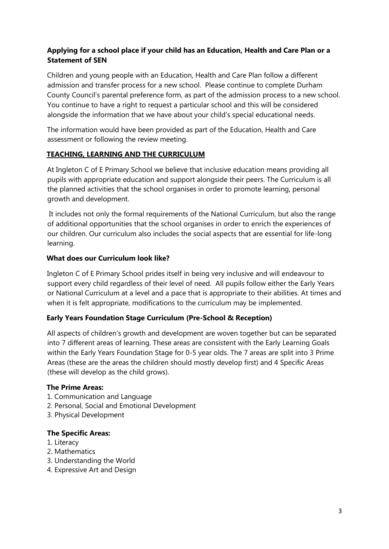# **Applying for a school place if your child has an Education, Health and Care Plan or a Statement of SEN**

Children and young people with an Education, Health and Care Plan follow a different admission and transfer process for a new school. Please continue to complete Durham County Council's parental preference form, as part of the admission process to a new school. You continue to have a right to request a particular school and this will be considered alongside the information that we have about your child's special educational needs.

The information would have been provided as part of the Education, Health and Care assessment or following the review meeting.

## **TEACHING, LEARNING AND THE CURRICULUM**

At Ingleton C of E Primary School we believe that inclusive education means providing all pupils with appropriate education and support alongside their peers. The Curriculum is all the planned activities that the school organises in order to promote learning, personal growth and development.

It includes not only the formal requirements of the National Curriculum, but also the range of additional opportunities that the school organises in order to enrich the experiences of our children. Our curriculum also includes the social aspects that are essential for life-long learning.

#### **What does our Curriculum look like?**

Ingleton C of E Primary School prides itself in being very inclusive and will endeavour to support every child regardless of their level of need. All pupils follow either the Early Years or National Curriculum at a level and a pace that is appropriate to their abilities. At times and when it is felt appropriate, modifications to the curriculum may be implemented.

#### **Early Years Foundation Stage Curriculum (Pre-School & Reception)**

All aspects of children's growth and development are woven together but can be separated into 7 different areas of learning. These areas are consistent with the Early Learning Goals within the Early Years Foundation Stage for 0-5 year olds. The 7 areas are split into 3 Prime Areas (these are the areas the children should mostly develop first) and 4 Specific Areas (these will develop as the child grows).

#### **The Prime Areas:**

- 1. Communication and Language
- 2. Personal, Social and Emotional Development
- 3. Physical Development

#### **The Specific Areas:**

- 1. Literacy
- 2. Mathematics
- 3. Understanding the World
- 4. Expressive Art and Design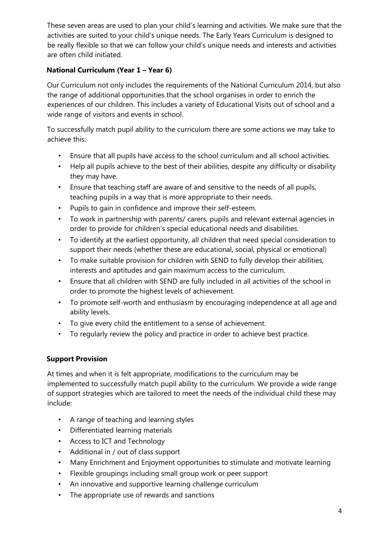These seven areas are used to plan your child's learning and activities. We make sure that the activities are suited to your child's unique needs. The Early Years Curriculum is designed to be really flexible so that we can follow your child's unique needs and interests and activities are often child initiated.

# **National Curriculum (Year 1 – Year 6)**

Our Curriculum not only includes the requirements of the National Curriculum 2014, but also the range of additional opportunities that the school organises in order to enrich the experiences of our children. This includes a variety of Educational Visits out of school and a wide range of visitors and events in school.

To successfully match pupil ability to the curriculum there are some actions we may take to achieve this:

- Ensure that all pupils have access to the school curriculum and all school activities.
- Help all pupils achieve to the best of their abilities, despite any difficulty or disability they may have.
- Ensure that teaching staff are aware of and sensitive to the needs of all pupils, teaching pupils in a way that is more appropriate to their needs.
- Pupils to gain in confidence and improve their self-esteem.
- To work in partnership with parents/ carers, pupils and relevant external agencies in order to provide for children's special educational needs and disabilities.
- To identify at the earliest opportunity, all children that need special consideration to support their needs (whether these are educational, social, physical or emotional)
- To make suitable provision for children with SEND to fully develop their abilities, interests and aptitudes and gain maximum access to the curriculum.
- Ensure that all children with SEND are fully included in all activities of the school in order to promote the highest levels of achievement.
- To promote self-worth and enthusiasm by encouraging independence at all age and ability levels.
- To give every child the entitlement to a sense of achievement.
- To regularly review the policy and practice in order to achieve best practice.

# **Support Provision**

At times and when it is felt appropriate, modifications to the curriculum may be implemented to successfully match pupil ability to the curriculum. We provide a wide range of support strategies which are tailored to meet the needs of the individual child these may include:

- A range of teaching and learning styles
- Differentiated learning materials
- Access to ICT and Technology
- Additional in / out of class support
- Many Enrichment and Enjoyment opportunities to stimulate and motivate learning
- Flexible groupings including small group work or peer support
- An innovative and supportive learning challenge curriculum
- The appropriate use of rewards and sanctions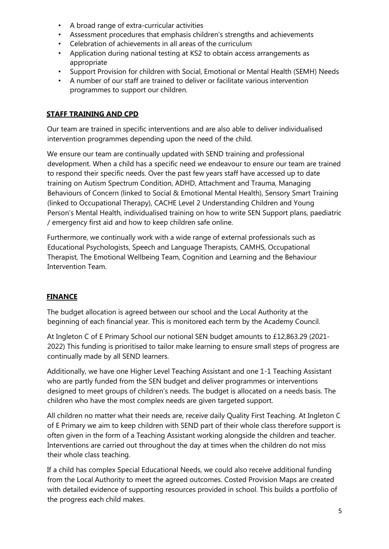- A broad range of extra-curricular activities
- Assessment procedures that emphasis children's strengths and achievements
- Celebration of achievements in all areas of the curriculum
- Application during national testing at KS2 to obtain access arrangements as appropriate
- Support Provision for children with Social, Emotional or Mental Health (SEMH) Needs
- A number of our staff are trained to deliver or facilitate various intervention programmes to support our children.

# **STAFF TRAINING AND CPD**

Our team are trained in specific interventions and are also able to deliver individualised intervention programmes depending upon the need of the child.

We ensure our team are continually updated with SEND training and professional development. When a child has a specific need we endeavour to ensure our team are trained to respond their specific needs. Over the past few years staff have accessed up to date training on Autism Spectrum Condition, ADHD, Attachment and Trauma, Managing Behaviours of Concern (linked to Social & Emotional Mental Health), Sensory Smart Training (linked to Occupational Therapy), CACHE Level 2 Understanding Children and Young Person's Mental Health, individualised training on how to write SEN Support plans, paediatric / emergency first aid and how to keep children safe online.

Furthermore, we continually work with a wide range of external professionals such as Educational Psychologists, Speech and Language Therapists, CAMHS, Occupational Therapist, The Emotional Wellbeing Team, Cognition and Learning and the Behaviour Intervention Team.

# **FINANCE**

The budget allocation is agreed between our school and the Local Authority at the beginning of each financial year. This is monitored each term by the Academy Council.

At Ingleton C of E Primary School our notional SEN budget amounts to £12,863.29 (2021- 2022) This funding is prioritised to tailor make learning to ensure small steps of progress are continually made by all SEND learners.

Additionally, we have one Higher Level Teaching Assistant and one 1-1 Teaching Assistant who are partly funded from the SEN budget and deliver programmes or interventions designed to meet groups of children's needs. The budget is allocated on a needs basis. The children who have the most complex needs are given targeted support.

All children no matter what their needs are, receive daily Quality First Teaching. At Ingleton C of E Primary we aim to keep children with SEND part of their whole class therefore support is often given in the form of a Teaching Assistant working alongside the children and teacher. Interventions are carried out throughout the day at times when the children do not miss their whole class teaching.

If a child has complex Special Educational Needs, we could also receive additional funding from the Local Authority to meet the agreed outcomes. Costed Provision Maps are created with detailed evidence of supporting resources provided in school. This builds a portfolio of the progress each child makes.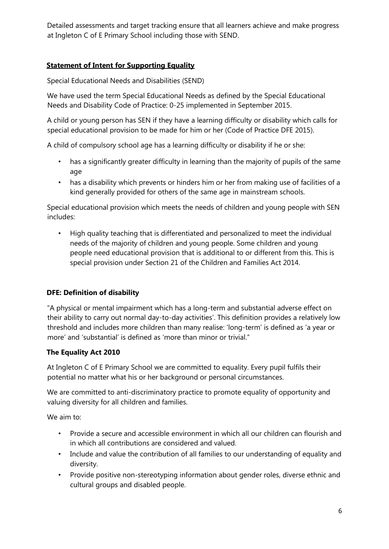Detailed assessments and target tracking ensure that all learners achieve and make progress at Ingleton C of E Primary School including those with SEND.

# **Statement of Intent for Supporting Equality**

Special Educational Needs and Disabilities (SEND)

We have used the term Special Educational Needs as defined by the Special Educational Needs and Disability Code of Practice: 0-25 implemented in September 2015.

A child or young person has SEN if they have a learning difficulty or disability which calls for special educational provision to be made for him or her (Code of Practice DFE 2015).

A child of compulsory school age has a learning difficulty or disability if he or she:

- has a significantly greater difficulty in learning than the majority of pupils of the same age
- has a disability which prevents or hinders him or her from making use of facilities of a kind generally provided for others of the same age in mainstream schools.

Special educational provision which meets the needs of children and young people with SEN includes:

• High quality teaching that is differentiated and personalized to meet the individual needs of the majority of children and young people. Some children and young people need educational provision that is additional to or different from this. This is special provision under Section 21 of the Children and Families Act 2014.

#### **DFE: Definition of disability**

"A physical or mental impairment which has a long-term and substantial adverse effect on their ability to carry out normal day-to-day activities'. This definition provides a relatively low threshold and includes more children than many realise: 'long-term' is defined as 'a year or more' and 'substantial' is defined as 'more than minor or trivial."

#### **The Equality Act 2010**

At Ingleton C of E Primary School we are committed to equality. Every pupil fulfils their potential no matter what his or her background or personal circumstances.

We are committed to anti-discriminatory practice to promote equality of opportunity and valuing diversity for all children and families.

We aim to:

- Provide a secure and accessible environment in which all our children can flourish and in which all contributions are considered and valued.
- Include and value the contribution of all families to our understanding of equality and diversity.
- Provide positive non-stereotyping information about gender roles, diverse ethnic and cultural groups and disabled people.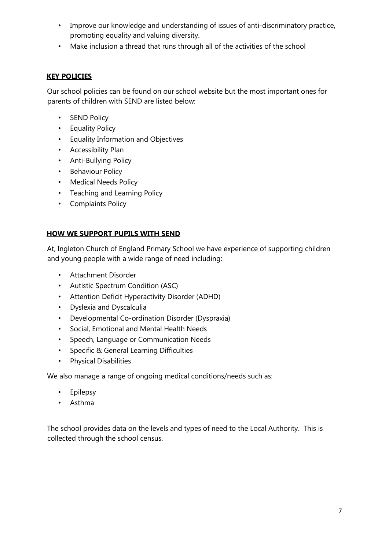- Improve our knowledge and understanding of issues of anti-discriminatory practice, promoting equality and valuing diversity.
- Make inclusion a thread that runs through all of the activities of the school

## **KEY POLICIES**

Our school policies can be found on our school website but the most important ones for parents of children with SEND are listed below:

- SEND Policy
- Equality Policy
- Equality Information and Objectives
- Accessibility Plan
- Anti-Bullying Policy
- Behaviour Policy
- Medical Needs Policy
- Teaching and Learning Policy
- Complaints Policy

#### **HOW WE SUPPORT PUPILS WITH SEND**

At, Ingleton Church of England Primary School we have experience of supporting children and young people with a wide range of need including:

- Attachment Disorder
- Autistic Spectrum Condition (ASC)
- Attention Deficit Hyperactivity Disorder (ADHD)
- Dyslexia and Dyscalculia
- Developmental Co-ordination Disorder (Dyspraxia)
- Social, Emotional and Mental Health Needs
- Speech, Language or Communication Needs
- Specific & General Learning Difficulties
- Physical Disabilities

We also manage a range of ongoing medical conditions/needs such as:

- Epilepsy
- Asthma

The school provides data on the levels and types of need to the Local Authority. This is collected through the school census.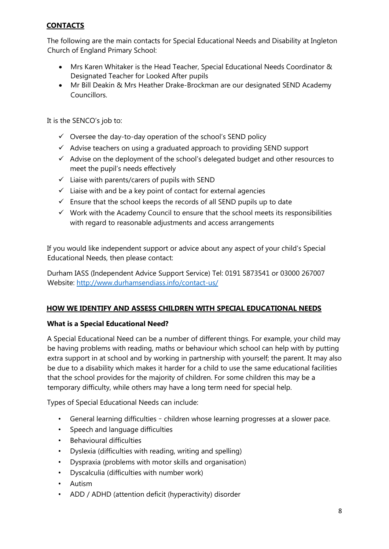# **CONTACTS**

The following are the main contacts for Special Educational Needs and Disability at Ingleton Church of England Primary School:

- Mrs Karen Whitaker is the Head Teacher, Special Educational Needs Coordinator & Designated Teacher for Looked After pupils
- Mr Bill Deakin & Mrs Heather Drake-Brockman are our designated SEND Academy Councillors.

It is the SENCO's job to:

- ✓ Oversee the day-to-day operation of the school's SEND policy
- $\checkmark$  Advise teachers on using a graduated approach to providing SEND support
- ✓ Advise on the deployment of the school's delegated budget and other resources to meet the pupil's needs effectively
- $\checkmark$  Liaise with parents/carers of pupils with SEND
- $\checkmark$  Liaise with and be a key point of contact for external agencies
- $\checkmark$  Ensure that the school keeps the records of all SEND pupils up to date
- $\checkmark$  Work with the Academy Council to ensure that the school meets its responsibilities with regard to reasonable adjustments and access arrangements

If you would like independent support or advice about any aspect of your child's Special Educational Needs, then please contact:

Durham IASS (Independent Advice Support Service) Tel: 0191 5873541 or 03000 267007 Website:<http://www.durhamsendiass.info/contact-us/>

#### **HOW WE IDENTIFY AND ASSESS CHILDREN WITH SPECIAL EDUCATIONAL NEEDS**

#### **What is a Special Educational Need?**

A Special Educational Need can be a number of different things. For example, your child may be having problems with reading, maths or behaviour which school can help with by putting extra support in at school and by working in partnership with yourself; the parent. It may also be due to a disability which makes it harder for a child to use the same educational facilities that the school provides for the majority of children. For some children this may be a temporary difficulty, while others may have a long term need for special help.

Types of Special Educational Needs can include:

- General learning difficulties children whose learning progresses at a slower pace.
- Speech and language difficulties
- Behavioural difficulties
- Dyslexia (difficulties with reading, writing and spelling)
- Dyspraxia (problems with motor skills and organisation)
- Dyscalculia (difficulties with number work)
- Autism
- ADD / ADHD (attention deficit (hyperactivity) disorder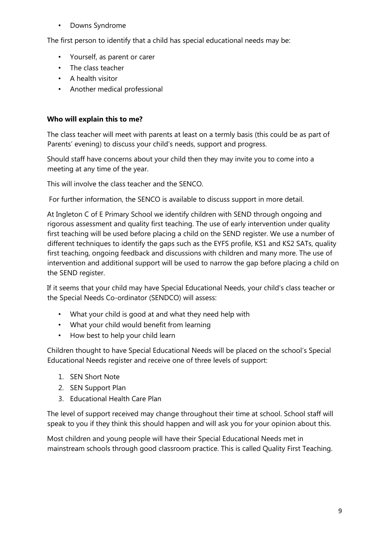• Downs Syndrome

The first person to identify that a child has special educational needs may be:

- Yourself, as parent or carer
- The class teacher
- A health visitor
- Another medical professional

## **Who will explain this to me?**

The class teacher will meet with parents at least on a termly basis (this could be as part of Parents' evening) to discuss your child's needs, support and progress.

Should staff have concerns about your child then they may invite you to come into a meeting at any time of the year.

This will involve the class teacher and the SENCO.

For further information, the SENCO is available to discuss support in more detail.

At Ingleton C of E Primary School we identify children with SEND through ongoing and rigorous assessment and quality first teaching. The use of early intervention under quality first teaching will be used before placing a child on the SEND register. We use a number of different techniques to identify the gaps such as the EYFS profile, KS1 and KS2 SATs, quality first teaching, ongoing feedback and discussions with children and many more. The use of intervention and additional support will be used to narrow the gap before placing a child on the SEND register.

If it seems that your child may have Special Educational Needs, your child's class teacher or the Special Needs Co-ordinator (SENDCO) will assess:

- What your child is good at and what they need help with
- What your child would benefit from learning
- How best to help your child learn

Children thought to have Special Educational Needs will be placed on the school's Special Educational Needs register and receive one of three levels of support:

- 1. SEN Short Note
- 2. SEN Support Plan
- 3. Educational Health Care Plan

The level of support received may change throughout their time at school. School staff will speak to you if they think this should happen and will ask you for your opinion about this.

Most children and young people will have their Special Educational Needs met in mainstream schools through good classroom practice. This is called Quality First Teaching.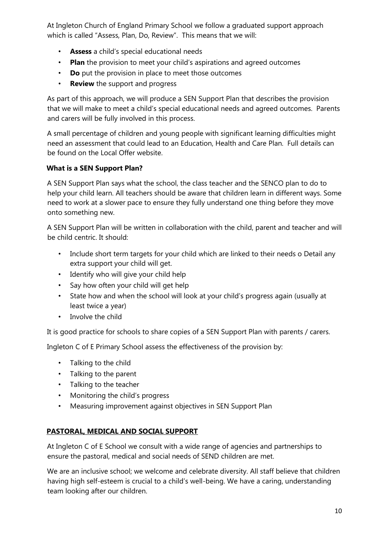At Ingleton Church of England Primary School we follow a graduated support approach which is called "Assess, Plan, Do, Review". This means that we will:

- **Assess** a child's special educational needs
- **Plan** the provision to meet your child's aspirations and agreed outcomes
- **Do** put the provision in place to meet those outcomes
- **Review** the support and progress

As part of this approach, we will produce a SEN Support Plan that describes the provision that we will make to meet a child's special educational needs and agreed outcomes. Parents and carers will be fully involved in this process.

A small percentage of children and young people with significant learning difficulties might need an assessment that could lead to an Education, Health and Care Plan. Full details can be found on the Local Offer website.

# **What is a SEN Support Plan?**

A SEN Support Plan says what the school, the class teacher and the SENCO plan to do to help your child learn. All teachers should be aware that children learn in different ways. Some need to work at a slower pace to ensure they fully understand one thing before they move onto something new.

A SEN Support Plan will be written in collaboration with the child, parent and teacher and will be child centric. It should:

- Include short term targets for your child which are linked to their needs o Detail any extra support your child will get.
- Identify who will give your child help
- Say how often your child will get help
- State how and when the school will look at your child's progress again (usually at least twice a year)
- Involve the child

It is good practice for schools to share copies of a SEN Support Plan with parents / carers.

Ingleton C of E Primary School assess the effectiveness of the provision by:

- Talking to the child
- Talking to the parent
- Talking to the teacher
- Monitoring the child's progress
- Measuring improvement against objectives in SEN Support Plan

# **PASTORAL, MEDICAL AND SOCIAL SUPPORT**

At Ingleton C of E School we consult with a wide range of agencies and partnerships to ensure the pastoral, medical and social needs of SEND children are met.

We are an inclusive school; we welcome and celebrate diversity. All staff believe that children having high self-esteem is crucial to a child's well-being. We have a caring, understanding team looking after our children.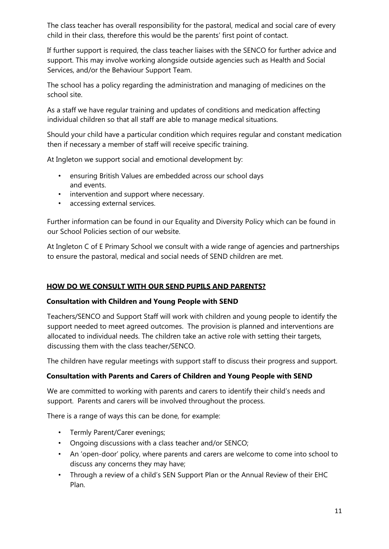The class teacher has overall responsibility for the pastoral, medical and social care of every child in their class, therefore this would be the parents' first point of contact.

If further support is required, the class teacher liaises with the SENCO for further advice and support. This may involve working alongside outside agencies such as Health and Social Services, and/or the Behaviour Support Team.

The school has a policy regarding the administration and managing of medicines on the school site.

As a staff we have regular training and updates of conditions and medication affecting individual children so that all staff are able to manage medical situations.

Should your child have a particular condition which requires regular and constant medication then if necessary a member of staff will receive specific training.

At Ingleton we support social and emotional development by:

- ensuring British Values are embedded across our school days and events.
- intervention and support where necessary.
- accessing external services.

Further information can be found in our Equality and Diversity Policy which can be found in our School Policies section of our website.

At Ingleton C of E Primary School we consult with a wide range of agencies and partnerships to ensure the pastoral, medical and social needs of SEND children are met.

# **HOW DO WE CONSULT WITH OUR SEND PUPILS AND PARENTS?**

#### **Consultation with Children and Young People with SEND**

Teachers/SENCO and Support Staff will work with children and young people to identify the support needed to meet agreed outcomes. The provision is planned and interventions are allocated to individual needs. The children take an active role with setting their targets, discussing them with the class teacher/SENCO.

The children have regular meetings with support staff to discuss their progress and support.

#### **Consultation with Parents and Carers of Children and Young People with SEND**

We are committed to working with parents and carers to identify their child's needs and support. Parents and carers will be involved throughout the process.

There is a range of ways this can be done, for example:

- Termly Parent/Carer evenings;
- Ongoing discussions with a class teacher and/or SENCO;
- An 'open-door' policy, where parents and carers are welcome to come into school to discuss any concerns they may have;
- Through a review of a child's SEN Support Plan or the Annual Review of their EHC Plan.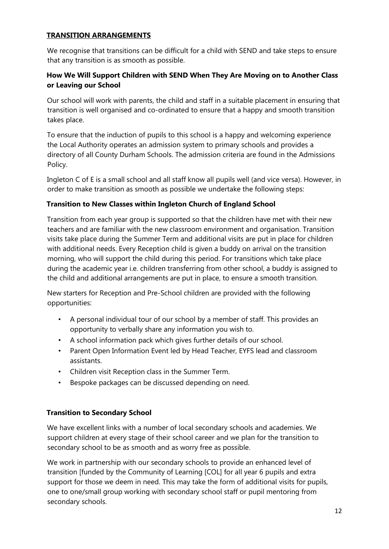#### **TRANSITION ARRANGEMENTS**

We recognise that transitions can be difficult for a child with SEND and take steps to ensure that any transition is as smooth as possible.

# **How We Will Support Children with SEND When They Are Moving on to Another Class or Leaving our School**

Our school will work with parents, the child and staff in a suitable placement in ensuring that transition is well organised and co-ordinated to ensure that a happy and smooth transition takes place.

To ensure that the induction of pupils to this school is a happy and welcoming experience the Local Authority operates an admission system to primary schools and provides a directory of all County Durham Schools. The admission criteria are found in the Admissions Policy.

Ingleton C of E is a small school and all staff know all pupils well (and vice versa). However, in order to make transition as smooth as possible we undertake the following steps:

# **Transition to New Classes within Ingleton Church of England School**

Transition from each year group is supported so that the children have met with their new teachers and are familiar with the new classroom environment and organisation. Transition visits take place during the Summer Term and additional visits are put in place for children with additional needs. Every Reception child is given a buddy on arrival on the transition morning, who will support the child during this period. For transitions which take place during the academic year i.e. children transferring from other school, a buddy is assigned to the child and additional arrangements are put in place, to ensure a smooth transition.

New starters for Reception and Pre-School children are provided with the following opportunities:

- A personal individual tour of our school by a member of staff. This provides an opportunity to verbally share any information you wish to.
- A school information pack which gives further details of our school.
- Parent Open Information Event led by Head Teacher, EYFS lead and classroom assistants.
- Children visit Reception class in the Summer Term.
- Bespoke packages can be discussed depending on need.

#### **Transition to Secondary School**

We have excellent links with a number of local secondary schools and academies. We support children at every stage of their school career and we plan for the transition to secondary school to be as smooth and as worry free as possible.

We work in partnership with our secondary schools to provide an enhanced level of transition [funded by the Community of Learning [COL] for all year 6 pupils and extra support for those we deem in need. This may take the form of additional visits for pupils, one to one/small group working with secondary school staff or pupil mentoring from secondary schools.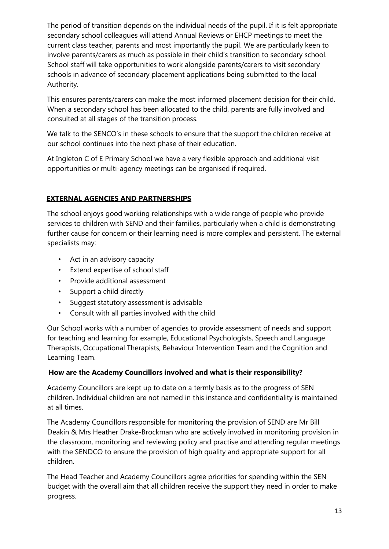The period of transition depends on the individual needs of the pupil. If it is felt appropriate secondary school colleagues will attend Annual Reviews or EHCP meetings to meet the current class teacher, parents and most importantly the pupil. We are particularly keen to involve parents/carers as much as possible in their child's transition to secondary school. School staff will take opportunities to work alongside parents/carers to visit secondary schools in advance of secondary placement applications being submitted to the local Authority.

This ensures parents/carers can make the most informed placement decision for their child. When a secondary school has been allocated to the child, parents are fully involved and consulted at all stages of the transition process.

We talk to the SENCO's in these schools to ensure that the support the children receive at our school continues into the next phase of their education.

At Ingleton C of E Primary School we have a very flexible approach and additional visit opportunities or multi-agency meetings can be organised if required.

# **EXTERNAL AGENCIES AND PARTNERSHIPS**

The school enjoys good working relationships with a wide range of people who provide services to children with SEND and their families, particularly when a child is demonstrating further cause for concern or their learning need is more complex and persistent. The external specialists may:

- Act in an advisory capacity
- Extend expertise of school staff
- Provide additional assessment
- Support a child directly
- Suggest statutory assessment is advisable
- Consult with all parties involved with the child

Our School works with a number of agencies to provide assessment of needs and support for teaching and learning for example, Educational Psychologists, Speech and Language Therapists, Occupational Therapists, Behaviour Intervention Team and the Cognition and Learning Team.

#### **How are the Academy Councillors involved and what is their responsibility?**

Academy Councillors are kept up to date on a termly basis as to the progress of SEN children. Individual children are not named in this instance and confidentiality is maintained at all times.

The Academy Councillors responsible for monitoring the provision of SEND are Mr Bill Deakin & Mrs Heather Drake-Brockman who are actively involved in monitoring provision in the classroom, monitoring and reviewing policy and practise and attending regular meetings with the SENDCO to ensure the provision of high quality and appropriate support for all children.

The Head Teacher and Academy Councillors agree priorities for spending within the SEN budget with the overall aim that all children receive the support they need in order to make progress.